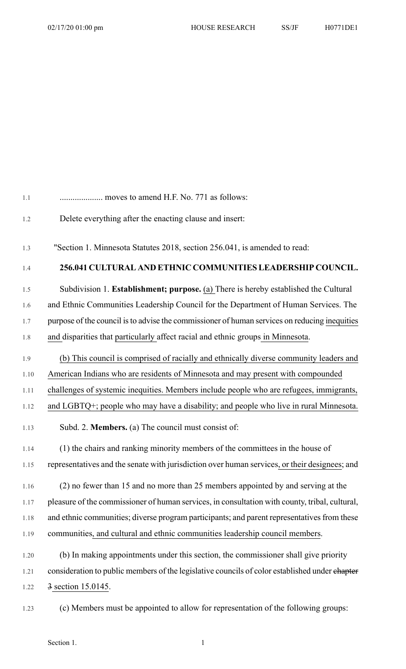| 1.1  | moves to amend H.F. No. 771 as follows:                                                        |
|------|------------------------------------------------------------------------------------------------|
| 1.2  | Delete everything after the enacting clause and insert:                                        |
| 1.3  | "Section 1. Minnesota Statutes 2018, section 256.041, is amended to read:                      |
| 1.4  | 256.041 CULTURAL AND ETHNIC COMMUNITIES LEADERSHIP COUNCIL.                                    |
| 1.5  | Subdivision 1. Establishment; purpose. (a) There is hereby established the Cultural            |
| 1.6  | and Ethnic Communities Leadership Council for the Department of Human Services. The            |
| 1.7  | purpose of the council is to advise the commissioner of human services on reducing inequities  |
| 1.8  | and disparities that particularly affect racial and ethnic groups in Minnesota.                |
| 1.9  | (b) This council is comprised of racially and ethnically diverse community leaders and         |
| 1.10 | American Indians who are residents of Minnesota and may present with compounded                |
| 1.11 | challenges of systemic inequities. Members include people who are refugees, immigrants,        |
| 1.12 | and LGBTQ+; people who may have a disability; and people who live in rural Minnesota.          |
| 1.13 | Subd. 2. Members. (a) The council must consist of:                                             |
| 1.14 | (1) the chairs and ranking minority members of the committees in the house of                  |
| 1.15 | representatives and the senate with jurisdiction over human services, or their designees; and  |
| 1.16 | (2) no fewer than 15 and no more than 25 members appointed by and serving at the               |
| 1.17 | pleasure of the commissioner of human services, in consultation with county, tribal, cultural, |
| 1.18 | and ethnic communities; diverse program participants; and parent representatives from these    |
| 1.19 | communities, and cultural and ethnic communities leadership council members.                   |
| 1.20 | (b) In making appointments under this section, the commissioner shall give priority            |
| 1.21 | consideration to public members of the legislative councils of color established under chapter |
| 1.22 | 3 section 15.0145.                                                                             |
| 1.23 | (c) Members must be appointed to allow for representation of the following groups:             |

## Section 1. 1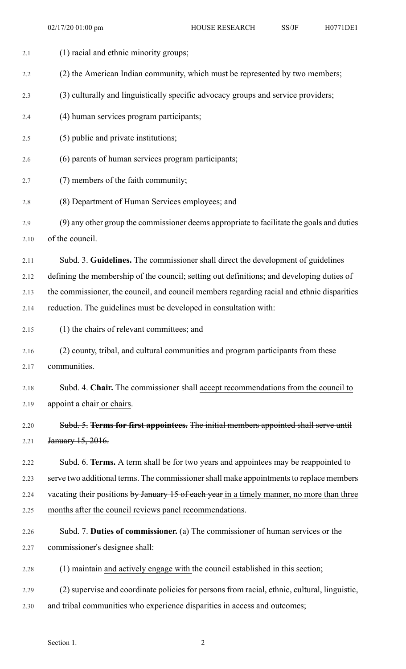| 2.1  | (1) racial and ethnic minority groups;                                                       |
|------|----------------------------------------------------------------------------------------------|
| 2.2  | (2) the American Indian community, which must be represented by two members;                 |
| 2.3  | (3) culturally and linguistically specific advocacy groups and service providers;            |
| 2.4  | (4) human services program participants;                                                     |
| 2.5  | (5) public and private institutions;                                                         |
| 2.6  | (6) parents of human services program participants;                                          |
| 2.7  | (7) members of the faith community;                                                          |
| 2.8  | (8) Department of Human Services employees; and                                              |
| 2.9  | (9) any other group the commissioner deems appropriate to facilitate the goals and duties    |
| 2.10 | of the council.                                                                              |
| 2.11 | Subd. 3. Guidelines. The commissioner shall direct the development of guidelines             |
| 2.12 | defining the membership of the council; setting out definitions; and developing duties of    |
| 2.13 | the commissioner, the council, and council members regarding racial and ethnic disparities   |
| 2.14 | reduction. The guidelines must be developed in consultation with:                            |
| 2.15 | (1) the chairs of relevant committees; and                                                   |
| 2.16 | (2) county, tribal, and cultural communities and program participants from these             |
| 2.17 | communities.                                                                                 |
| 2.18 | Subd. 4. Chair. The commissioner shall accept recommendations from the council to            |
| 2.19 | appoint a chair or chairs.                                                                   |
| 2.20 | Subd. 5. Terms for first appointees. The initial members appointed shall serve until         |
| 2.21 | January 15, 2016.                                                                            |
| 2.22 | Subd. 6. Terms. A term shall be for two years and appointees may be reappointed to           |
| 2.23 | serve two additional terms. The commissioner shall make appointments to replace members      |
| 2.24 | vacating their positions by January 15 of each year in a timely manner, no more than three   |
| 2.25 | months after the council reviews panel recommendations.                                      |
| 2.26 | Subd. 7. Duties of commissioner. (a) The commissioner of human services or the               |
| 2.27 | commissioner's designee shall:                                                               |
| 2.28 | (1) maintain and actively engage with the council established in this section;               |
| 2.29 | (2) supervise and coordinate policies for persons from racial, ethnic, cultural, linguistic, |
| 2.30 | and tribal communities who experience disparities in access and outcomes;                    |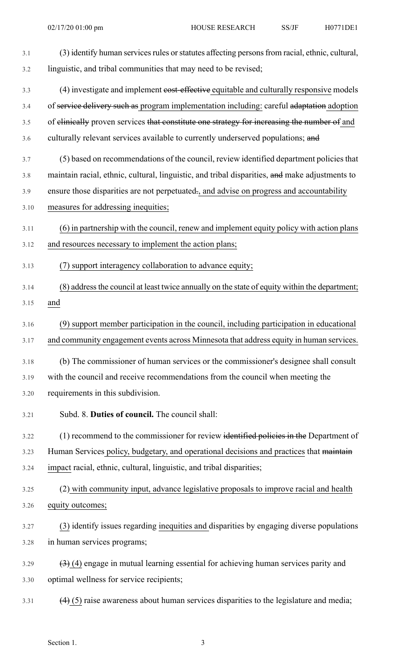| 3.1  | (3) identify human services rules or statutes affecting persons from racial, ethnic, cultural, |
|------|------------------------------------------------------------------------------------------------|
| 3.2  | linguistic, and tribal communities that may need to be revised;                                |
| 3.3  | (4) investigate and implement eost-effective equitable and culturally responsive models        |
| 3.4  | of service delivery such as program implementation including: careful adaptation adoption      |
| 3.5  | of elinically proven services that constitute one strategy for increasing the number of and    |
| 3.6  | culturally relevant services available to currently underserved populations; and               |
| 3.7  | (5) based on recommendations of the council, review identified department policies that        |
| 3.8  | maintain racial, ethnic, cultural, linguistic, and tribal disparities, and make adjustments to |
| 3.9  | ensure those disparities are not perpetuated., and advise on progress and accountability       |
| 3.10 | measures for addressing inequities;                                                            |
| 3.11 | (6) in partnership with the council, renew and implement equity policy with action plans       |
| 3.12 | and resources necessary to implement the action plans;                                         |
| 3.13 | (7) support interagency collaboration to advance equity;                                       |
| 3.14 | (8) address the council at least twice annually on the state of equity within the department;  |
| 3.15 | and                                                                                            |
| 3.16 | (9) support member participation in the council, including participation in educational        |
| 3.17 | and community engagement events across Minnesota that address equity in human services.        |
| 3.18 | (b) The commissioner of human services or the commissioner's designee shall consult            |
| 3.19 | with the council and receive recommendations from the council when meeting the                 |
| 3.20 | requirements in this subdivision.                                                              |
| 3.21 | Subd. 8. Duties of council. The council shall:                                                 |
| 3.22 | (1) recommend to the commissioner for review identified policies in the Department of          |
| 3.23 | Human Services policy, budgetary, and operational decisions and practices that maintain        |
| 3.24 | impact racial, ethnic, cultural, linguistic, and tribal disparities;                           |
| 3.25 | (2) with community input, advance legislative proposals to improve racial and health           |
| 3.26 | equity outcomes;                                                                               |
| 3.27 | (3) identify issues regarding inequities and disparities by engaging diverse populations       |
| 3.28 | in human services programs;                                                                    |
| 3.29 | $(3)$ (4) engage in mutual learning essential for achieving human services parity and          |
| 3.30 | optimal wellness for service recipients;                                                       |
| 3.31 | $(4)$ (5) raise awareness about human services disparities to the legislature and media;       |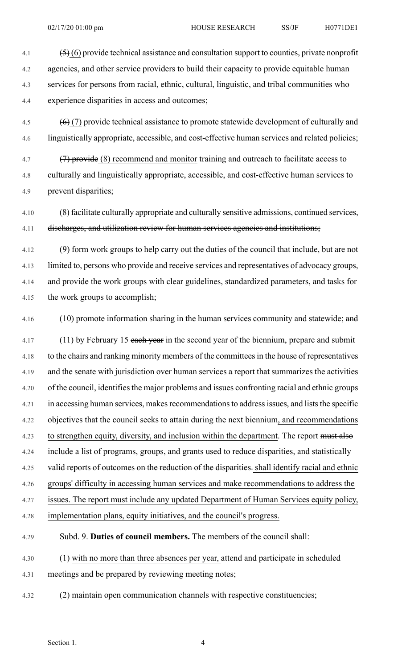- 4.1  $\left( \frac{5}{5} \right)$  (6) provide technical assistance and consultation support to counties, private nonprofit 4.2 agencies, and other service providers to build their capacity to provide equitable human
- 4.3 services for persons from racial, ethnic, cultural, linguistic, and tribal communities who 4.4 experience disparities in access and outcomes;
- 4.5  $(6)(7)$  provide technical assistance to promote statewide development of culturally and 4.6 linguistically appropriate, accessible, and cost-effective human services and related policies;
- 4.7 (7) provide (8) recommend and monitor training and outreach to facilitate access to 4.8 culturally and linguistically appropriate, accessible, and cost-effective human services to 4.9 prevent disparities;
- 4.10 (8) facilitate culturally appropriate and culturally sensitive admissions, continued services, 4.11 discharges, and utilization review for human services agencies and institutions;
- 4.12 (9) form work groups to help carry out the duties of the council that include, but are not 4.13 limited to, persons who provide and receive services and representatives of advocacy groups, 4.14 and provide the work groups with clear guidelines, standardized parameters, and tasks for 4.15 the work groups to accomplish;
- 

4.16 (10) promote information sharing in the human services community and statewide; and

- 4.17 (11) by February 15 each year in the second year of the biennium, prepare and submit 4.18 to the chairs and ranking minority members of the committeesin the house of representatives 4.19 and the senate with jurisdiction over human services a report that summarizes the activities 4.20 of the council, identifies the major problems and issues confronting racial and ethnic groups 4.21 in accessing human services, makes recommendations to address issues, and lists the specific 4.22 objectives that the council seeks to attain during the next biennium, and recommendations 4.23 to strengthen equity, diversity, and inclusion within the department. The report must also 4.24 include a list of programs, groups, and grants used to reduce disparities, and statistically 4.25 valid reports of outcomes on the reduction of the disparities. shall identify racial and ethnic 4.26 groups' difficulty in accessing human services and make recommendations to address the 4.27 issues. The report must include any updated Department of Human Services equity policy, 4.28 implementation plans, equity initiatives, and the council's progress.
- 4.29 Subd. 9. **Duties of council members.** The members of the council shall:
- 4.30 (1) with no more than three absences per year, attend and participate in scheduled 4.31 meetings and be prepared by reviewing meeting notes;
- 4.32 (2) maintain open communication channels with respective constituencies;